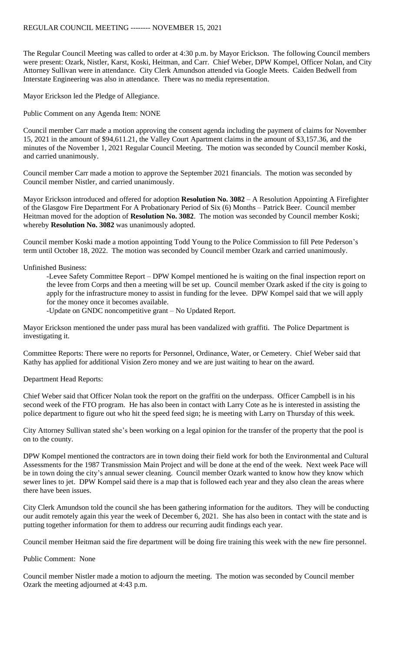The Regular Council Meeting was called to order at 4:30 p.m. by Mayor Erickson. The following Council members were present: Ozark, Nistler, Karst, Koski, Heitman, and Carr. Chief Weber, DPW Kompel, Officer Nolan, and City Attorney Sullivan were in attendance. City Clerk Amundson attended via Google Meets. Caiden Bedwell from Interstate Engineering was also in attendance. There was no media representation.

Mayor Erickson led the Pledge of Allegiance.

Public Comment on any Agenda Item: NONE

Council member Carr made a motion approving the consent agenda including the payment of claims for November 15, 2021 in the amount of \$94,611.21, the Valley Court Apartment claims in the amount of \$3,157.36, and the minutes of the November 1, 2021 Regular Council Meeting. The motion was seconded by Council member Koski, and carried unanimously.

Council member Carr made a motion to approve the September 2021 financials. The motion was seconded by Council member Nistler, and carried unanimously.

Mayor Erickson introduced and offered for adoption **Resolution No. 3082** – A Resolution Appointing A Firefighter of the Glasgow Fire Department For A Probationary Period of Six (6) Months – Patrick Beer. Council member Heitman moved for the adoption of **Resolution No. 3082**. The motion was seconded by Council member Koski; whereby **Resolution No. 3082** was unanimously adopted.

Council member Koski made a motion appointing Todd Young to the Police Commission to fill Pete Pederson's term until October 18, 2022. The motion was seconded by Council member Ozark and carried unanimously.

## Unfinished Business:

-Levee Safety Committee Report – DPW Kompel mentioned he is waiting on the final inspection report on the levee from Corps and then a meeting will be set up. Council member Ozark asked if the city is going to apply for the infrastructure money to assist in funding for the levee. DPW Kompel said that we will apply for the money once it becomes available.

-Update on GNDC noncompetitive grant – No Updated Report.

Mayor Erickson mentioned the under pass mural has been vandalized with graffiti. The Police Department is investigating it.

Committee Reports: There were no reports for Personnel, Ordinance, Water, or Cemetery. Chief Weber said that Kathy has applied for additional Vision Zero money and we are just waiting to hear on the award.

Department Head Reports:

Chief Weber said that Officer Nolan took the report on the graffiti on the underpass. Officer Campbell is in his second week of the FTO program. He has also been in contact with Larry Cote as he is interested in assisting the police department to figure out who hit the speed feed sign; he is meeting with Larry on Thursday of this week.

City Attorney Sullivan stated she's been working on a legal opinion for the transfer of the property that the pool is on to the county.

DPW Kompel mentioned the contractors are in town doing their field work for both the Environmental and Cultural Assessments for the 1987 Transmission Main Project and will be done at the end of the week. Next week Pace will be in town doing the city's annual sewer cleaning. Council member Ozark wanted to know how they know which sewer lines to jet. DPW Kompel said there is a map that is followed each year and they also clean the areas where there have been issues.

City Clerk Amundson told the council she has been gathering information for the auditors. They will be conducting our audit remotely again this year the week of December 6, 2021. She has also been in contact with the state and is putting together information for them to address our recurring audit findings each year.

Council member Heitman said the fire department will be doing fire training this week with the new fire personnel.

## Public Comment: None

Council member Nistler made a motion to adjourn the meeting. The motion was seconded by Council member Ozark the meeting adjourned at 4:43 p.m.